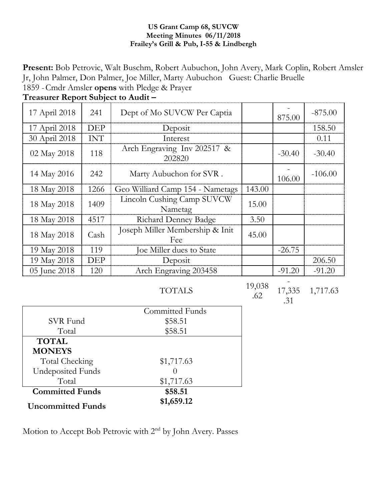#### **US Grant Camp 68, SUVCW Meeting Minutes 06/11/2018 Frailey's Grill & Pub, I-55 & Lindbergh**

**Present:** Bob Petrovic, Walt Buschm, Robert Aubuchon, John Avery, Mark Coplin, Robert Amsler Jr, John Palmer, Don Palmer, Joe Miller, Marty Aubuchon Guest: Charlie Bruelle 1859 -Cmdr Amsler **opens** with Pledge & Prayer

| 17 April 2018 | 241        | Dept of Mo SUVCW Per Captia            |        | 875.00   | $-875.00$ |
|---------------|------------|----------------------------------------|--------|----------|-----------|
| 17 April 2018 | <b>DEP</b> | Deposit                                |        |          | 158.50    |
| 30 April 2018 | <b>INT</b> | Interest                               |        |          | 0.11      |
| 02 May 2018   | 118        | Arch Engraving Inv 202517 &<br>202820  |        | $-30.40$ | $-30.40$  |
| 14 May 2016   | 242        | Marty Aubuchon for SVR.                |        | 106.00   | $-106.00$ |
| 18 May 2018   | 1266       | Geo Williard Camp 154 - Nametags       | 143.00 |          |           |
| 18 May 2018   | 1409       | Lincoln Cushing Camp SUVCW<br>Nametag  | 15.00  |          |           |
| 18 May 2018   | 4517       | <b>Richard Denney Badge</b>            | 3.50   |          |           |
| 18 May 2018   | Cash       | Joseph Miller Membership & Init<br>Fee | 45.00  |          |           |
| 19 May 2018   | 119        | Joe Miller dues to State               |        | $-26.75$ |           |
| 19 May 2018   | <b>DEP</b> | Deposit                                |        |          | 206.50    |
| 05 June 2018  | 120        | Arch Engraving 203458                  |        | $-91.20$ | $-91.20$  |

**Treasurer Report Subject to Audit –**

19,038 .62

17,335 .31 1,717.63

-

|                          | Committed Funds |
|--------------------------|-----------------|
| SVR Fund                 | \$58.51         |
| Total                    | \$58.51         |
| <b>TOTAL</b>             |                 |
| <b>MONEYS</b>            |                 |
| Total Checking           | \$1,717.63      |
| <b>Undeposited Funds</b> |                 |
| Total                    | \$1,717.63      |
| <b>Committed Funds</b>   | \$58.51         |
| <b>Uncommitted Funds</b> | \$1,659.12      |

Motion to Accept Bob Petrovic with 2<sup>nd</sup> by John Avery. Passes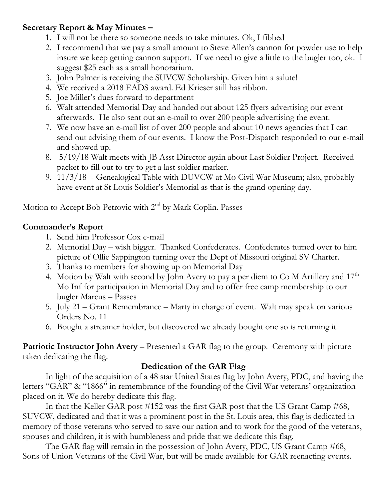#### **Secretary Report & May Minutes –**

- 1. I will not be there so someone needs to take minutes. Ok, I fibbed
- 2. I recommend that we pay a small amount to Steve Allen's cannon for powder use to help insure we keep getting cannon support. If we need to give a little to the bugler too, ok. I suggest \$25 each as a small honorarium.
- 3. John Palmer is receiving the SUVCW Scholarship. Given him a salute!
- 4. We received a 2018 EADS award. Ed Krieser still has ribbon.
- 5. Joe Miller's dues forward to department
- 6. Walt attended Memorial Day and handed out about 125 flyers advertising our event afterwards. He also sent out an e-mail to over 200 people advertising the event.
- 7. We now have an e-mail list of over 200 people and about 10 news agencies that I can send out advising them of our events. I know the Post-Dispatch responded to our e-mail and showed up.
- 8. 5/19/18 Walt meets with JB Asst Director again about Last Soldier Project. Received packet to fill out to try to get a last soldier marker.
- 9. 11/3/18 Genealogical Table with DUVCW at Mo Civil War Museum; also, probably have event at St Louis Soldier's Memorial as that is the grand opening day.

Motion to Accept Bob Petrovic with 2nd by Mark Coplin. Passes

#### **Commander's Report**

- 1. Send him Professor Cox e-mail
- 2. Memorial Day wish bigger. Thanked Confederates. Confederates turned over to him picture of Ollie Sappington turning over the Dept of Missouri original SV Charter.
- 3. Thanks to members for showing up on Memorial Day
- 4. Motion by Walt with second by John Avery to pay a per diem to Co M Artillery and 17<sup>th</sup> Mo Inf for participation in Memorial Day and to offer free camp membership to our bugler Marcus – Passes
- 5. July 21 Grant Remembrance Marty in charge of event. Walt may speak on various Orders No. 11
- 6. Bought a streamer holder, but discovered we already bought one so is returning it.

**Patriotic Instructor John Avery** – Presented a GAR flag to the group. Ceremony with picture taken dedicating the flag.

## **Dedication of the GAR Flag**

In light of the acquisition of a 48 star United States flag by John Avery, PDC, and having the letters "GAR" & "1866" in remembrance of the founding of the Civil War veterans' organization placed on it. We do hereby dedicate this flag.

In that the Keller GAR post #152 was the first GAR post that the US Grant Camp #68, SUVCW, dedicated and that it was a prominent post in the St. Louis area, this flag is dedicated in memory of those veterans who served to save our nation and to work for the good of the veterans, spouses and children, it is with humbleness and pride that we dedicate this flag.

The GAR flag will remain in the possession of John Avery, PDC, US Grant Camp #68, Sons of Union Veterans of the Civil War, but will be made available for GAR reenacting events.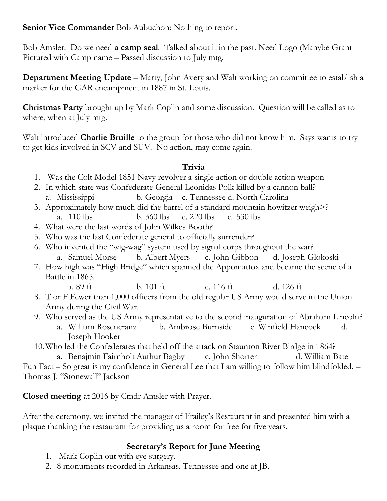**Senior Vice Commander** Bob Aubuchon: Nothing to report.

Bob Amsler: Do we need **a camp seal**. Talked about it in the past. Need Logo (Manybe Grant Pictured with Camp name – Passed discussion to July mtg.

**Department Meeting Update** – Marty, John Avery and Walt working on committee to establish a marker for the GAR encampment in 1887 in St. Louis.

**Christmas Party** brought up by Mark Coplin and some discussion. Question will be called as to where, when at July mtg.

Walt introduced **Charlie Bruille** to the group for those who did not know him. Says wants to try to get kids involved in SCV and SUV. No action, may come again.

## **Trivia**

- 1. Was the Colt Model 1851 Navy revolver a single action or double action weapon
- 2. In which state was Confederate General Leonidas Polk killed by a cannon ball? a. Mississippi b. Georgia c. Tennessee d. North Carolina
- 3. Approximately how much did the barrel of a standard mountain howitzer weigh>? a. 110 lbs b. 360 lbs c. 220 lbs d. 530 lbs
- 4. What were the last words of John Wilkes Booth?
- 5. Who was the last Confederate general to officially surrender?
- 6. Who invented the "wig-wag" system used by signal corps throughout the war? a. Samuel Morse b. Albert Myers c. John Gibbon d. Joseph Glokoski
- 7. How high was "High Bridge" which spanned the Appomattox and became the scene of a Battle in 1865.
	- a. 89 ft b. 101 ft c. 116 ft d. 126 ft
- 8. T or F Fewer than 1,000 officers from the old regular US Army would serve in the Union Army during the Civil War.
- 9. Who served as the US Army representative to the second inauguration of Abraham Lincoln?
	- a. William Rosencranz b. Ambrose Burnside c. Winfield Hancock d. Joseph Hooker
- 10.Who led the Confederates that held off the attack on Staunton River Birdge in 1864?

a. Benajmin Fairnholt Authur Bagby c. John Shorter d. William Bate Fun Fact – So great is my confidence in General Lee that I am willing to follow him blindfolded. – Thomas J. "Stonewall" Jackson

**Closed meeting** at 2016 by Cmdr Amsler with Prayer.

After the ceremony, we invited the manager of Frailey's Restaurant in and presented him with a plaque thanking the restaurant for providing us a room for free for five years.

# **Secretary's Report for June Meeting**

- 1. Mark Coplin out with eye surgery.
- 2. 8 monuments recorded in Arkansas, Tennessee and one at JB.